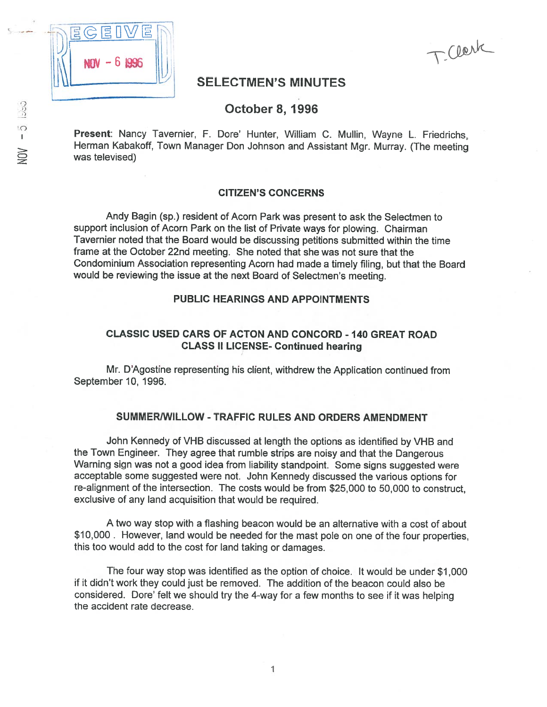

TClerk

# SELECTMEN'S MINUTES

# October 8, 1996

Present: Nancy Tavernier, F. Dore' Hunter, William C. Mullin, Wayne L. Friedrichs, Herman Kabakoff, Town Manager Don Johnson and Assistant Mgr. Murray. (The meeting was televised)

### CITIZEN'S CONCERNS

Andy Bagin (sp.) resident of Acorn Park was presen<sup>t</sup> to ask the Selectmen to suppor<sup>t</sup> inclusion of Acorn Park on the list of Private ways for plowing. Chairman Tavernier noted that the Board would be discussing petitions submitted within the time frame at the October 22nd meeting. She noted that she was not sure that the Condominium Association representing Acorn had made <sup>a</sup> timely filing, but that the Board would be reviewing the issue at the next Board of Selectmen's meeting.

### PUBLIC HEARINGS AND APPOINTMENTS

# CLASSIC USED CARS OF ACTON AND CONCORD - 140 GREAT ROAD CLASS II LICENSE- Continued hearing

Mr. D'Agostine representing his client, withdrew the Application continued from September 10, 1996.

#### SUMMERIWILLOW - TRAFFIC RULES AND ORDERS AMENDMENT

John Kennedy of VHS discussed at length the options as identified by VHB and the Town Engineer. They agree that rumble strips are noisy and that the Dangerous Warning sign was not <sup>a</sup> goo<sup>d</sup> idea from liability standpoint. Some signs suggested were acceptable some suggested were not. John Kennedy discussed the various options for re-alignment of the intersection. The costs would be from \$25,000 to 50,000 to construct, exclusive of any land acquisition that would be required.

A two way stop with <sup>a</sup> flashing beacon would be an alternative with <sup>a</sup> cost of about \$10,000. However, land would be needed for the mast pole on one of the four properties, this too would add to the cost for land taking or damages.

The four way stop was identified as the option of choice. It would be under \$1,000 if it didn't work they could just be removed. The addition of the beacon could also be considered. Dore' felt we should try the 4-way for <sup>a</sup> few months to see if it was helping the accident rate decrease.

 $NOV - 5$  lasp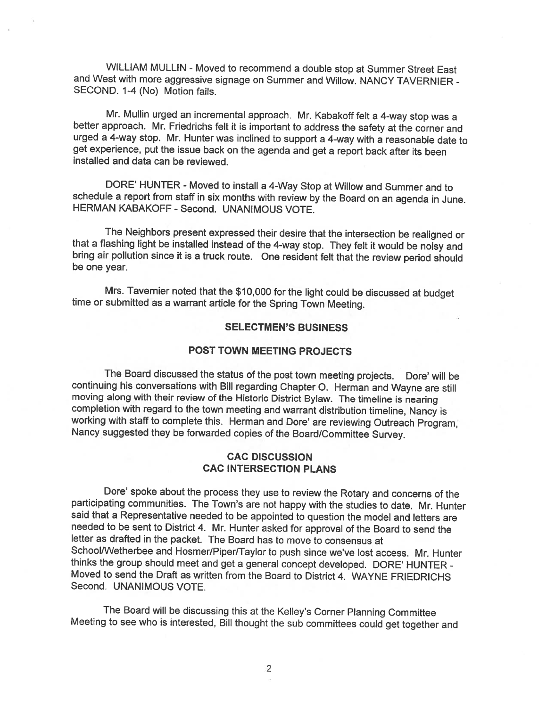WILLIAM MULLIN - Moved to recommend a double stop at Summer Street East and West with more aggressive signage on Summer and Willow. NANCY TAVERNIER -SECOND. 1-4 (No) Motion fails.

Mr. Mullin urged an incremental approach. Mr. Kabakoff felt <sup>a</sup> 4-way stop was <sup>a</sup> better approach. Mr. Friedrichs felt it is important to address the safety at the corner and urged <sup>a</sup> 4-way stop. Mr. Hunter was inclined to support <sup>a</sup> 4-way with <sup>a</sup> reasonable date to get experience, put the issue back on the agenda and get <sup>a</sup> report back after its been installed and data can be reviewed.

DORE' HUNTER - Moved to install <sup>a</sup> 4-Way Stop at Willow and Summer and to schedule <sup>a</sup> report from staff in six months with review by the Board on an agenda in June. HERMAN KABAKOFF - Second. UNANIMOUS VOTE.

The Neighbors present expressed their desire that the intersection be realigned or that a flashing light be installed instead of the 4-way stop. They felt it would be noisy and bring air pollution since it is a truck route

Mrs. Tavernier noted that the \$10,000 for the light could be discussed at budget time or submitted as <sup>a</sup> warrant article for the Spring Town Meeting.

### SELECTMEN'S BUSINESS

## POST TOWN MEETING PROJECTS

The Board discussed the status of the post town meeting projects. Dore' will be continuing his conversations with Bill regarding Chapter O. Herman and Wayne are still moving along with their review of the Historic District Bylaw. The timeline is nearing completion with regard to the town meeting and warrant distribution timeline, Nancy is working with staff to complete this. Herman and Dore' are reviewing Outreach Program,<br>Nancy suggested they be forwarded copies of the Board/Committee Survey.

### CAC DISCUSSION CAC INTERSECTION PLANS

Dore' spoke about the process they use to review the Rotary and concerns of the participating communities. The Town's are not happy with the studies to date. Mr. Hunter said that <sup>a</sup> Representative needed to be appointed to question the model and letters are needed to be sent to District 4. Mr. Hunter asked for approval of the Board to send the letter as drafted in the packet. The Board has to move to consensus at School/Wetherbee and Hosmer/Piper/Taylor to push since we've lost access. Mr. Hunter thinks the group should meet and get <sup>a</sup> general concept developed. DORE' HUNTER - Moved to send the Draft as written from the Board to District 4. WAYNE FRIEDRICHS Second. UNANIMOUS VOTE.

The Board will be discussing this at the Kelley's Corner Planning Committee Meeting to see who is interested, Bill thought the sub committees could get together and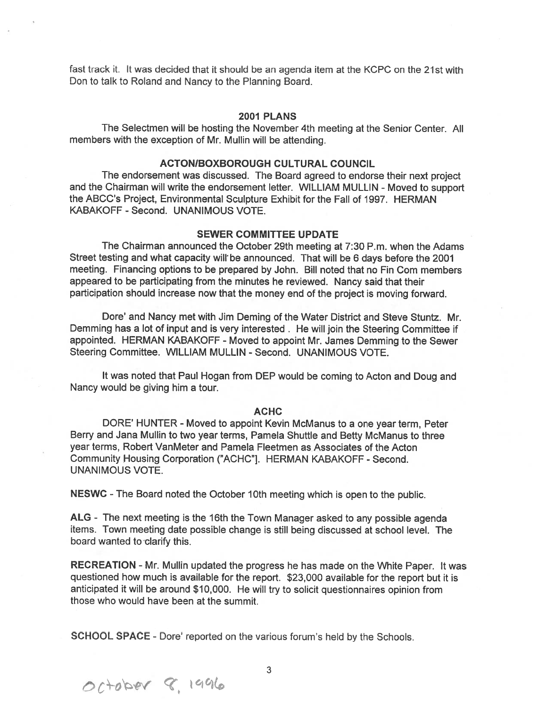fast track it. It was decided that it should be an agenda item at the KCPC on the 21St with Don to talk to Roland and Nancy to the Planning Board.

#### 2001 PLANS

The Selectmen will be hosting the November 4th meeting at the Senior Center. All members with the exception of Mr. Mullin will be attending.

### ACTONIBOXBOROUGH CULTURAL COUNCIL

The endorsement was discussed. The Board agree<sup>d</sup> to endorse their next project and the Chairman will write the endorsement letter. WILLIAM MULLIN - Moved to suppor<sup>t</sup> the ABCC's Project, Environmental Sculpture Exhibit for the Fall of 1997. HERMAN KABAKOFF - Second. UNANIMOUS VOTE.

### SEWER COMMITTEE UPDATE

The Chairman announced the October 29th meeting at 7:30 P.m. when the Adams Street testing and what capacity will be announced. That will be 6 days before the 2001 meeting. Financing options to be prepared by John. Bill noted that no Fin Com members appeared to be participating from the minutes he reviewed. Nancy said that their participation should increase now that the money end of the project is moving forward.

Dore' and Nancy met with Jim Deming of the Water District and Steve Stuntz. Mr. Demming has <sup>a</sup> lot of input and is very interested. He will join the Steering Committee if appointed. HERMAN KABAKOFF -Moved to appoint Mr. James Demming to the Sewer Steering Committee. WILLIAM MULLIN - Second. UNANIMOUS VOTE.

It was noted that Paul Hogan from DEP would be coming to Acton and Doug and Nancy would be giving him <sup>a</sup> tour.

#### ACHC

DORE' HUNTER - Moved to appoint Kevin McManus to a one year term, Peter Berry and Jana Mullin to two year terms, Pamela Shuttle and Betty McManus to three year terms, Robert VanMeter and Pamela Fleetmen as Associates of the Acton Community Housing Corporation ("ACHC"]. HERMAN KABAKOFF - Second. UNANIMOUS VOTE.

NESWC -The Board noted the October 10th meeting which is open to the public.

ALG - The next meeting is the 16th the Town Manager asked to any possible agenda items. Town meeting date possible change is still being discussed at school level. The board wanted to clarify this.

RECREATION - Mr. Mullin updated the progress he has made on the White Paper. It was questioned how much is available for the report. \$23,000 available for the repor<sup>t</sup> but it is anticipated it will be around \$10,000. He will try to solicit questionnaires opinion from those who would have been at the summit.

SCHOOL SPACE - Dore' reported on the various forum's held by the Schools.

 $O(-1000r)$  8, 1996

3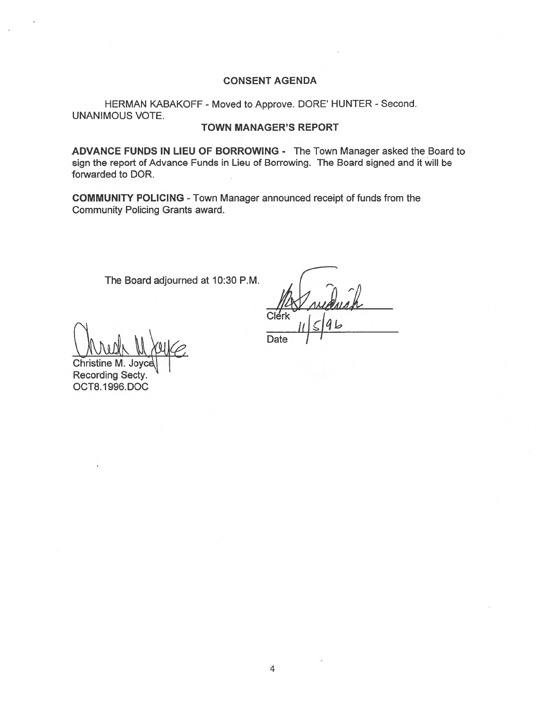# CONSENT AGENDA

HERMAN KABAKOFF - Moved to Approve. DORE' HUNTER - Second. UNANIMOUS VOTE.

### TOWN MANAGER'S REPORT

ADVANCE FUNDS IN LIEU OF BORROWING - The Town Manager asked the Board to sign the repor<sup>t</sup> of Advance Funds in Lieu of Borrowing. The Board signed and it will be forwarded to DOR.

COMMUNITY POLICING -Town Manager announced receipt of funds from the Community Policing Grants award.

The Board adjourned at 10:30 P.M.

Clerk

 $\int_{0}^{C \text{left}} |f| \leq 4L$ Christine M.

Recording Secty. OCT8. I 996.DOC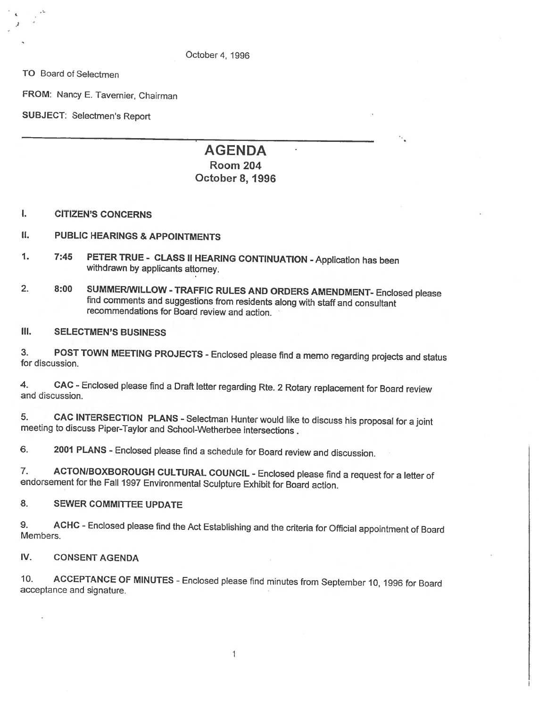October4, 1996

TO Board of Selectmen

FROM: Nancy E. Tavernier, Chairman

SUBJECT: Selectmen's Report

# AGENDA Room 204 October 8, 1996

### I. CITIZEN'S CONCERNS

### II. PUBLIC HEARINGS & APPOINTMENTS

- 1. 7:45 PETER TRUE CLASS II HEARING CONTINUATION -Application has been withdrawn by applicants attorney.
- 2. 8:00 SUMMERWILLOW TRAFFIC RULES AND ORDERS AMENDMENT- Enclosed please<br>find comments and suggestions from residents along with staff and consultant recommendations for Board review and action.

### Ill. SELECTMEN'S BUSINESS

3. POST TOWN MEETING PROJECTS - Enclosed <sup>p</sup>lease find <sup>a</sup> memo regarding projects and status for discussion.

4. CAC - Enclosed please find a Draft letter regarding Rte. 2 Rotary replacement for Board review and discussion.

5. CAC INTERSECTION PLANS - Selectman Hunter would like to discuss his proposal for a joint meeting to discuss Piper-Taylor and School-Wetherbee intersections.

6. <sup>2001</sup> PLANS -Enclosed <sup>p</sup>lease find <sup>a</sup> schedule for Board review and discussion.

7. ACTONIBOXBOROUGH CULTURAL COUNCIL -Enclosed <sup>p</sup>lease find <sup>a</sup> request for <sup>a</sup> letter of endorsement for the Fall <sup>1997</sup> Environmental Sculpture Exhibit for Board action.

### 8. SEWER COMMITTEE UPDATE

9. ACHC -Enclosed <sup>p</sup>lease find the Act Establishing and the criteria for Official appointment of Board Members.

### lv. CONSENT AGENDA

10. ACCEPTANCE OF MINUTES - Enclosed <sup>p</sup>lease find minutes from September 10, <sup>1996</sup> for Board acceptance and signature.